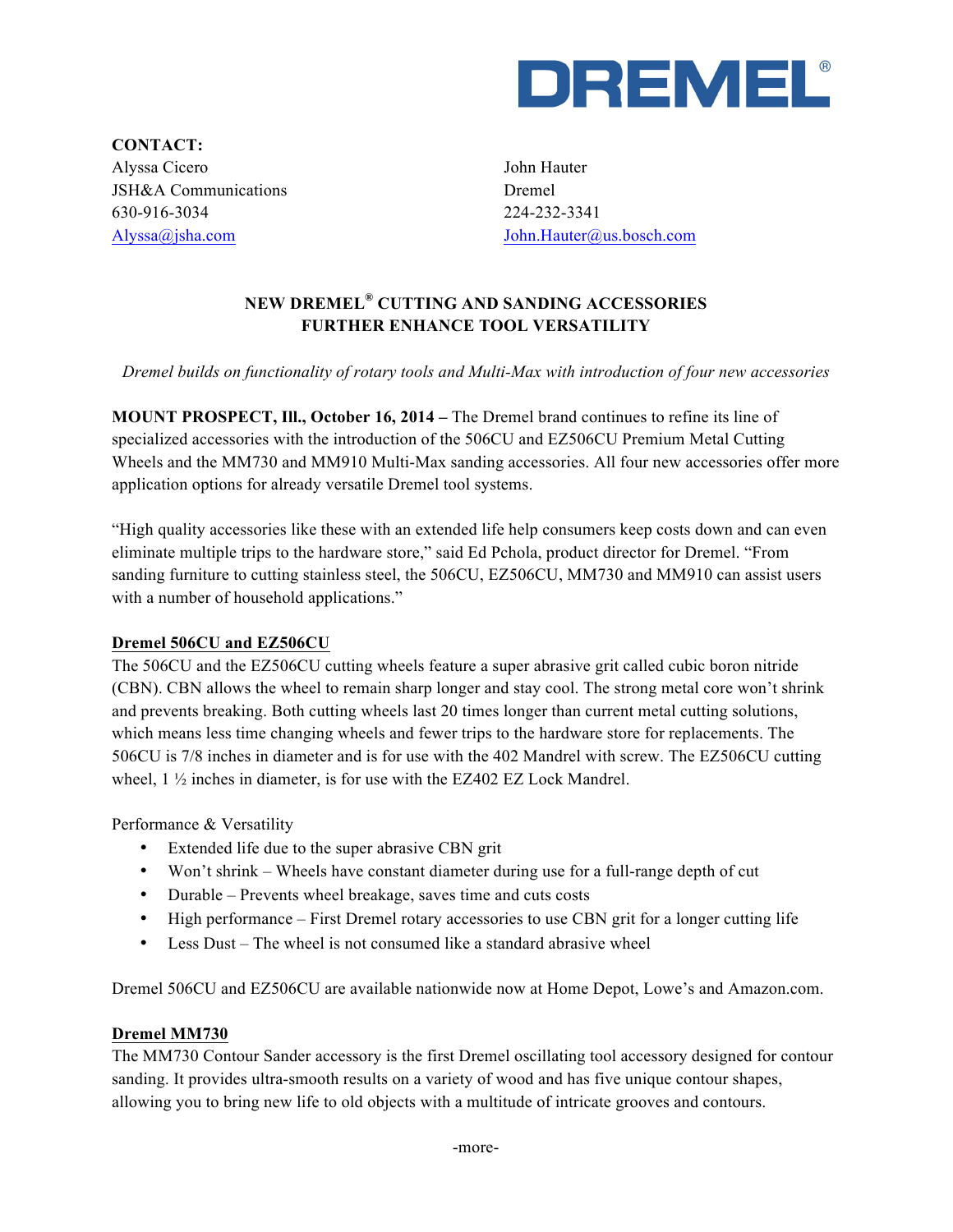

**CONTACT:** Alyssa Cicero JSH&A Communications 630-916-3034 Alyssa@jsha.com

John Hauter Dremel 224-232-3341 John.Hauter@us.bosch.com

# **NEW DREMEL® CUTTING AND SANDING ACCESSORIES FURTHER ENHANCE TOOL VERSATILITY**

*Dremel builds on functionality of rotary tools and Multi-Max with introduction of four new accessories*

**MOUNT PROSPECT, Ill., October 16, 2014 –** The Dremel brand continues to refine its line of specialized accessories with the introduction of the 506CU and EZ506CU Premium Metal Cutting Wheels and the MM730 and MM910 Multi-Max sanding accessories. All four new accessories offer more application options for already versatile Dremel tool systems.

"High quality accessories like these with an extended life help consumers keep costs down and can even eliminate multiple trips to the hardware store," said Ed Pchola, product director for Dremel. "From sanding furniture to cutting stainless steel, the 506CU, EZ506CU, MM730 and MM910 can assist users with a number of household applications."

#### **Dremel 506CU and EZ506CU**

The 506CU and the EZ506CU cutting wheels feature a super abrasive grit called cubic boron nitride (CBN). CBN allows the wheel to remain sharp longer and stay cool. The strong metal core won't shrink and prevents breaking. Both cutting wheels last 20 times longer than current metal cutting solutions, which means less time changing wheels and fewer trips to the hardware store for replacements. The 506CU is 7/8 inches in diameter and is for use with the 402 Mandrel with screw. The EZ506CU cutting wheel, 1 ½ inches in diameter, is for use with the EZ402 EZ Lock Mandrel.

Performance & Versatility

- Extended life due to the super abrasive CBN grit
- Won't shrink Wheels have constant diameter during use for a full-range depth of cut
- Durable Prevents wheel breakage, saves time and cuts costs
- High performance First Dremel rotary accessories to use CBN grit for a longer cutting life
- Less Dust The wheel is not consumed like a standard abrasive wheel

Dremel 506CU and EZ506CU are available nationwide now at Home Depot, Lowe's and Amazon.com.

#### **Dremel MM730**

The MM730 Contour Sander accessory is the first Dremel oscillating tool accessory designed for contour sanding. It provides ultra-smooth results on a variety of wood and has five unique contour shapes, allowing you to bring new life to old objects with a multitude of intricate grooves and contours.